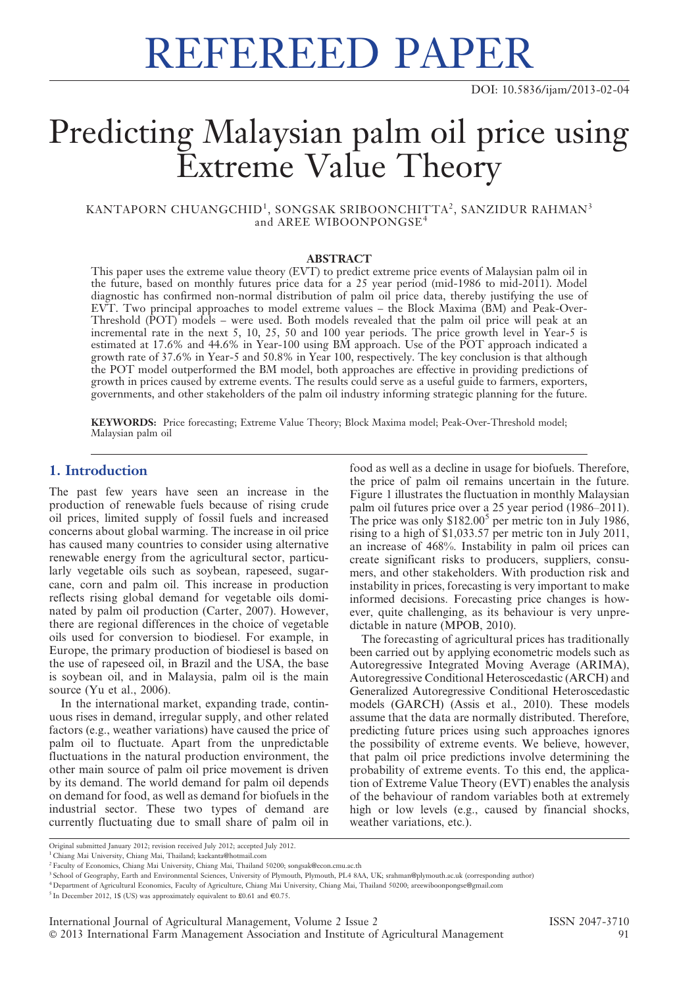# REFEREED PAPER

## Predicting Malaysian palm oil price using Extreme Value Theory

KANTAPORN CHUANGCHID $^{\rm l}$ , songsak sriboonchitta $^{\rm 2}$ , sanzidur rahman $^{\rm 3}$ and AREE WIBOONPONGSE<sup>4</sup>

#### ABSTRACT

This paper uses the extreme value theory (EVT) to predict extreme price events of Malaysian palm oil in the future, based on monthly futures price data for a 25 year period (mid-1986 to mid-2011). Model diagnostic has confirmed non-normal distribution of palm oil price data, thereby justifying the use of EVT. Two principal approaches to model extreme values – the Block Maxima (BM) and Peak-Over-Threshold (POT) models – were used. Both models revealed that the palm oil price will peak at an incremental rate in the next 5, 10, 25, 50 and 100 year periods. The price growth level in Year-5 is estimated at 17.6% and 44.6% in Year-100 using BM approach. Use of the POT approach indicated a growth rate of 37.6% in Year-5 and 50.8% in Year 100, respectively. The key conclusion is that although the POT model outperformed the BM model, both approaches are effective in providing predictions of growth in prices caused by extreme events. The results could serve as a useful guide to farmers, exporters, governments, and other stakeholders of the palm oil industry informing strategic planning for the future.

KEYWORDS: Price forecasting; Extreme Value Theory; Block Maxima model; Peak-Over-Threshold model; Malaysian palm oil

#### 1. Introduction

The past few years have seen an increase in the production of renewable fuels because of rising crude oil prices, limited supply of fossil fuels and increased concerns about global warming. The increase in oil price has caused many countries to consider using alternative renewable energy from the agricultural sector, particularly vegetable oils such as soybean, rapeseed, sugarcane, corn and palm oil. This increase in production reflects rising global demand for vegetable oils dominated by palm oil production (Carter, 2007). However, there are regional differences in the choice of vegetable oils used for conversion to biodiesel. For example, in Europe, the primary production of biodiesel is based on the use of rapeseed oil, in Brazil and the USA, the base is soybean oil, and in Malaysia, palm oil is the main source (Yu et al., 2006).

In the international market, expanding trade, continuous rises in demand, irregular supply, and other related factors (e.g., weather variations) have caused the price of palm oil to fluctuate. Apart from the unpredictable fluctuations in the natural production environment, the other main source of palm oil price movement is driven by its demand. The world demand for palm oil depends on demand for food, as well as demand for biofuels in the industrial sector. These two types of demand are currently fluctuating due to small share of palm oil in

food as well as a decline in usage for biofuels. Therefore, the price of palm oil remains uncertain in the future. Figure 1 illustrates the fluctuation in monthly Malaysian palm oil futures price over a 25 year period (1986–2011). The price was only  $$182.00<sup>5</sup>$  per metric ton in July 1986, rising to a high of \$1,033.57 per metric ton in July 2011, an increase of 468%. Instability in palm oil prices can create significant risks to producers, suppliers, consumers, and other stakeholders. With production risk and instability in prices, forecasting is very important to make informed decisions. Forecasting price changes is however, quite challenging, as its behaviour is very unpredictable in nature (MPOB, 2010).

The forecasting of agricultural prices has traditionally been carried out by applying econometric models such as Autoregressive Integrated Moving Average (ARIMA), Autoregressive Conditional Heteroscedastic (ARCH) and Generalized Autoregressive Conditional Heteroscedastic models (GARCH) (Assis et al., 2010). These models assume that the data are normally distributed. Therefore, predicting future prices using such approaches ignores the possibility of extreme events. We believe, however, that palm oil price predictions involve determining the probability of extreme events. To this end, the application of Extreme Value Theory (EVT) enables the analysis of the behaviour of random variables both at extremely high or low levels (e.g., caused by financial shocks, weather variations, etc.).

Original submitted January 2012; revision received July 2012; accepted July 2012.

<sup>1</sup> Chiang Mai University, Chiang Mai, Thailand; kaekanta@hotmail.com

<sup>2</sup> Faculty of Economics, Chiang Mai University, Chiang Mai, Thailand 50200; songsak@econ.cmu.ac.th

<sup>&</sup>lt;sup>3</sup> School of Geography, Earth and Environmental Sciences, University of Plymouth, Plymouth, PL4 8AA, UK; srahman@plymouth.ac.uk (corresponding author)

<sup>4</sup> Department of Agricultural Economics, Faculty of Agriculture, Chiang Mai University, Chiang Mai, Thailand 50200; areewiboonpongse@gmail.com

 $^5$  In December 2012, 1\$ (US) was approximately equivalent to £0.61 and  $\in$ 0.75.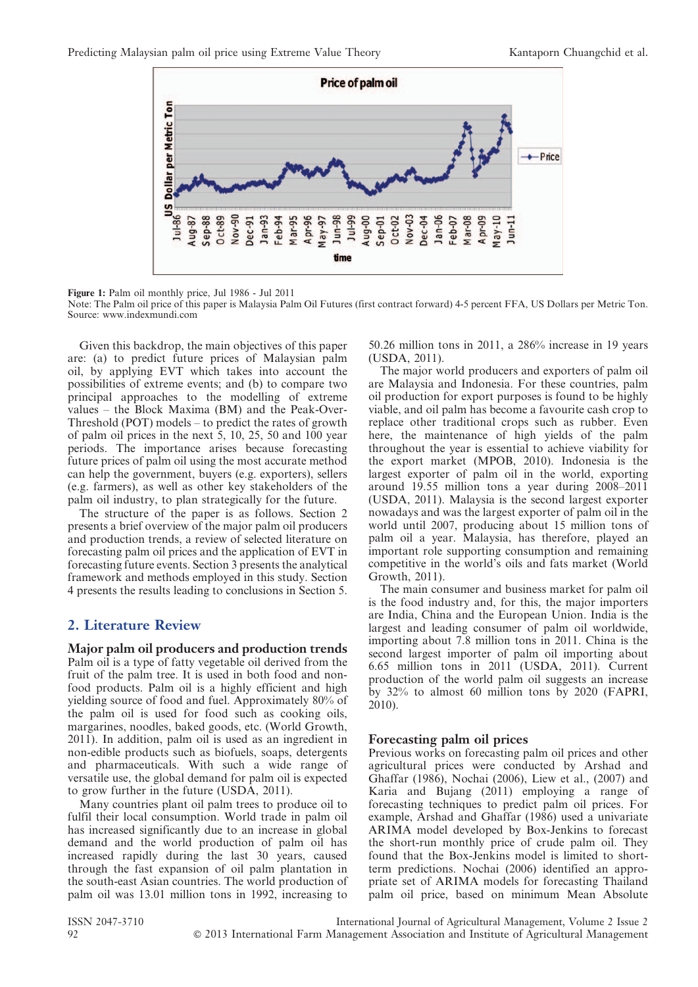

Figure 1: Palm oil monthly price, Jul 1986 - Jul 2011

Note: The Palm oil price of this paper is Malaysia Palm Oil Futures (first contract forward) 4-5 percent FFA, US Dollars per Metric Ton. Source: www.indexmundi.com

Given this backdrop, the main objectives of this paper are: (a) to predict future prices of Malaysian palm oil, by applying EVT which takes into account the possibilities of extreme events; and (b) to compare two principal approaches to the modelling of extreme values – the Block Maxima (BM) and the Peak-Over-Threshold (POT) models – to predict the rates of growth of palm oil prices in the next 5, 10, 25, 50 and 100 year periods. The importance arises because forecasting future prices of palm oil using the most accurate method can help the government, buyers (e.g. exporters), sellers (e.g. farmers), as well as other key stakeholders of the palm oil industry, to plan strategically for the future.

The structure of the paper is as follows. Section 2 presents a brief overview of the major palm oil producers and production trends, a review of selected literature on forecasting palm oil prices and the application of EVT in forecasting future events. Section 3 presents the analytical framework and methods employed in this study. Section 4 presents the results leading to conclusions in Section 5.

#### 2. Literature Review

Major palm oil producers and production trends Palm oil is a type of fatty vegetable oil derived from the fruit of the palm tree. It is used in both food and nonfood products. Palm oil is a highly efficient and high yielding source of food and fuel. Approximately 80% of the palm oil is used for food such as cooking oils, margarines, noodles, baked goods, etc. (World Growth, 2011). In addition, palm oil is used as an ingredient in non-edible products such as biofuels, soaps, detergents and pharmaceuticals. With such a wide range of versatile use, the global demand for palm oil is expected to grow further in the future (USDA, 2011).

Many countries plant oil palm trees to produce oil to fulfil their local consumption. World trade in palm oil has increased significantly due to an increase in global demand and the world production of palm oil has increased rapidly during the last 30 years, caused through the fast expansion of oil palm plantation in the south-east Asian countries. The world production of palm oil was 13.01 million tons in 1992, increasing to 50.26 million tons in 2011, a 286% increase in 19 years (USDA, 2011).

The major world producers and exporters of palm oil are Malaysia and Indonesia. For these countries, palm oil production for export purposes is found to be highly viable, and oil palm has become a favourite cash crop to replace other traditional crops such as rubber. Even here, the maintenance of high yields of the palm throughout the year is essential to achieve viability for the export market (MPOB, 2010). Indonesia is the largest exporter of palm oil in the world, exporting around 19.55 million tons a year during 2008–2011 (USDA, 2011). Malaysia is the second largest exporter nowadays and was the largest exporter of palm oil in the world until 2007, producing about 15 million tons of palm oil a year. Malaysia, has therefore, played an important role supporting consumption and remaining competitive in the world's oils and fats market (World Growth, 2011).

The main consumer and business market for palm oil is the food industry and, for this, the major importers are India, China and the European Union. India is the largest and leading consumer of palm oil worldwide, importing about 7.8 million tons in 2011. China is the second largest importer of palm oil importing about 6.65 million tons in 2011 (USDA, 2011). Current production of the world palm oil suggests an increase by 32% to almost 60 million tons by 2020 (FAPRI, 2010).

#### Forecasting palm oil prices

Previous works on forecasting palm oil prices and other agricultural prices were conducted by Arshad and Ghaffar (1986), Nochai (2006), Liew et al., (2007) and Karia and Bujang (2011) employing a range of forecasting techniques to predict palm oil prices. For example, Arshad and Ghaffar (1986) used a univariate ARIMA model developed by Box-Jenkins to forecast the short-run monthly price of crude palm oil. They found that the Box-Jenkins model is limited to shortterm predictions. Nochai (2006) identified an appropriate set of ARIMA models for forecasting Thailand palm oil price, based on minimum Mean Absolute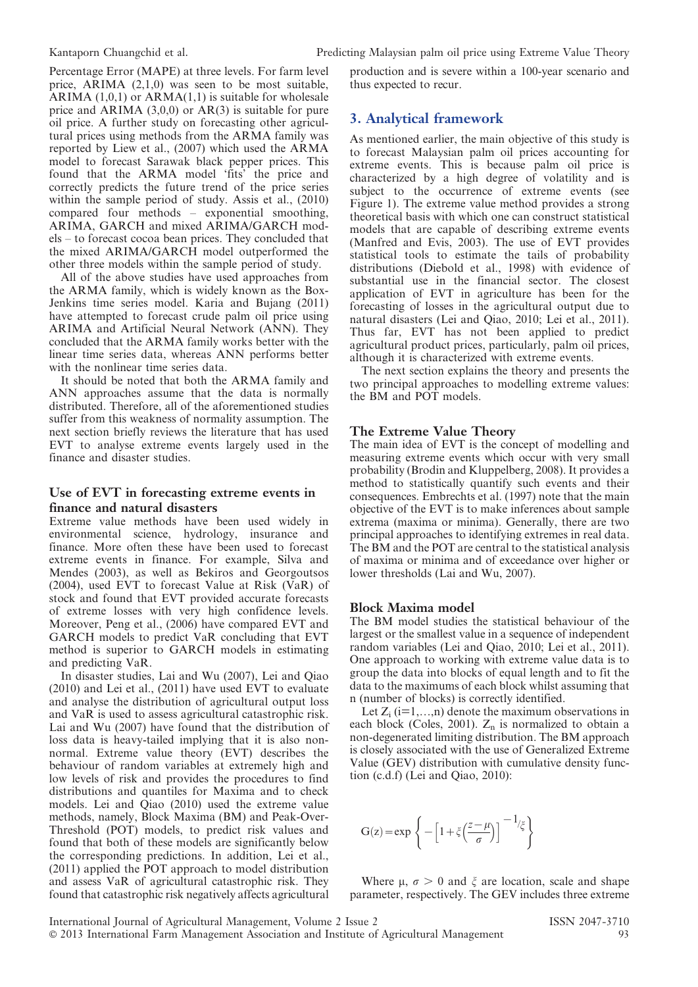Percentage Error (MAPE) at three levels. For farm level price, ARIMA (2,1,0) was seen to be most suitable, ARIMA  $(1,0,1)$  or ARMA $(1,1)$  is suitable for wholesale price and ARIMA  $(3,0,0)$  or AR $(3)$  is suitable for pure oil price. A further study on forecasting other agricultural prices using methods from the ARMA family was reported by Liew et al., (2007) which used the ARMA model to forecast Sarawak black pepper prices. This found that the ARMA model 'fits' the price and correctly predicts the future trend of the price series within the sample period of study. Assis et al., (2010) compared four methods – exponential smoothing, ARIMA, GARCH and mixed ARIMA/GARCH models – to forecast cocoa bean prices. They concluded that the mixed ARIMA/GARCH model outperformed the other three models within the sample period of study.

All of the above studies have used approaches from the ARMA family, which is widely known as the Box-Jenkins time series model. Karia and Bujang (2011) have attempted to forecast crude palm oil price using ARIMA and Artificial Neural Network (ANN). They concluded that the ARMA family works better with the linear time series data, whereas ANN performs better with the nonlinear time series data.

It should be noted that both the ARMA family and ANN approaches assume that the data is normally distributed. Therefore, all of the aforementioned studies suffer from this weakness of normality assumption. The next section briefly reviews the literature that has used EVT to analyse extreme events largely used in the finance and disaster studies.

#### Use of EVT in forecasting extreme events in finance and natural disasters

Extreme value methods have been used widely in environmental science, hydrology, insurance and finance. More often these have been used to forecast extreme events in finance. For example, Silva and Mendes (2003), as well as Bekiros and Georgoutsos (2004), used EVT to forecast Value at Risk (VaR) of stock and found that EVT provided accurate forecasts of extreme losses with very high confidence levels. Moreover, Peng et al., (2006) have compared EVT and GARCH models to predict VaR concluding that EVT method is superior to GARCH models in estimating and predicting VaR.

In disaster studies, Lai and Wu (2007), Lei and Qiao (2010) and Lei et al., (2011) have used EVT to evaluate and analyse the distribution of agricultural output loss and VaR is used to assess agricultural catastrophic risk. Lai and Wu (2007) have found that the distribution of loss data is heavy-tailed implying that it is also nonnormal. Extreme value theory (EVT) describes the behaviour of random variables at extremely high and low levels of risk and provides the procedures to find distributions and quantiles for Maxima and to check models. Lei and Qiao (2010) used the extreme value methods, namely, Block Maxima (BM) and Peak-Over-Threshold (POT) models, to predict risk values and found that both of these models are significantly below the corresponding predictions. In addition, Lei et al., (2011) applied the POT approach to model distribution and assess VaR of agricultural catastrophic risk. They found that catastrophic risk negatively affects agricultural production and is severe within a 100-year scenario and thus expected to recur.

### 3. Analytical framework

As mentioned earlier, the main objective of this study is to forecast Malaysian palm oil prices accounting for extreme events. This is because palm oil price is characterized by a high degree of volatility and is subject to the occurrence of extreme events (see Figure 1). The extreme value method provides a strong theoretical basis with which one can construct statistical models that are capable of describing extreme events (Manfred and Evis, 2003). The use of EVT provides statistical tools to estimate the tails of probability distributions (Diebold et al., 1998) with evidence of substantial use in the financial sector. The closest application of EVT in agriculture has been for the forecasting of losses in the agricultural output due to natural disasters (Lei and Qiao, 2010; Lei et al., 2011). Thus far, EVT has not been applied to predict agricultural product prices, particularly, palm oil prices, although it is characterized with extreme events.

The next section explains the theory and presents the two principal approaches to modelling extreme values: the BM and POT models.

#### The Extreme Value Theory

The main idea of EVT is the concept of modelling and measuring extreme events which occur with very small probability (Brodin and Kluppelberg, 2008). It provides a method to statistically quantify such events and their consequences. Embrechts et al. (1997) note that the main objective of the EVT is to make inferences about sample extrema (maxima or minima). Generally, there are two principal approaches to identifying extremes in real data. The BM and the POT are central to the statistical analysis of maxima or minima and of exceedance over higher or lower thresholds (Lai and Wu, 2007).

#### Block Maxima model

The BM model studies the statistical behaviour of the largest or the smallest value in a sequence of independent random variables (Lei and Qiao, 2010; Lei et al., 2011). One approach to working with extreme value data is to group the data into blocks of equal length and to fit the data to the maximums of each block whilst assuming that n (number of blocks) is correctly identified.

Let  $Z_i$  (i=1,...,n) denote the maximum observations in each block (Coles, 2001).  $Z_n$  is normalized to obtain a non-degenerated limiting distribution. The BM approach is closely associated with the use of Generalized Extreme Value (GEV) distribution with cumulative density function (c.d.f) (Lei and Qiao, 2010):

$$
G(z) = \exp\left\{-\left[1 + \xi \left(\frac{z-\mu}{\sigma}\right)\right]^{-1} / \xi\right\}
$$

Where  $\mu$ ,  $\sigma > 0$  and  $\xi$  are location, scale and shape parameter, respectively. The GEV includes three extreme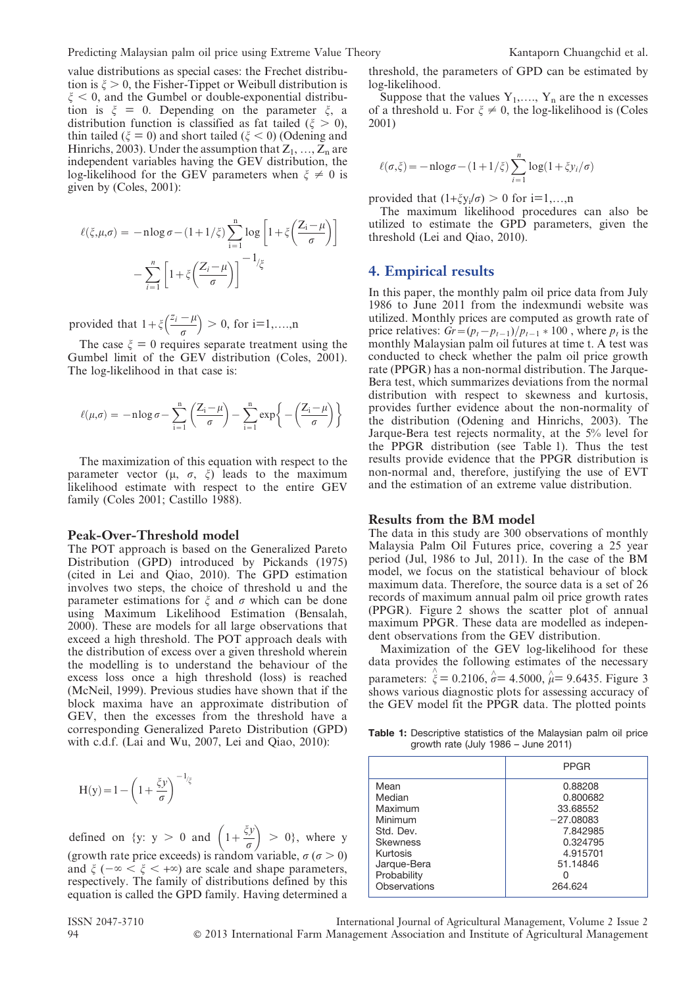value distributions as special cases: the Frechet distribution is  $\xi > 0$ , the Fisher-Tippet or Weibull distribution is  $\xi$  < 0, and the Gumbel or double-exponential distribution is  $\xi = 0$ . Depending on the parameter  $\xi$ , a distribution function is classified as fat tailed ( $\xi > 0$ ), thin tailed ( $\zeta = 0$ ) and short tailed ( $\zeta < 0$ ) (Odening and Hinrichs, 2003). Under the assumption that  $Z_1, \ldots, Z_n$  are independent variables having the GEV distribution, the log-likelihood for the GEV parameters when  $\xi \neq 0$  is given by (Coles, 2001):

$$
\ell(\xi, \mu, \sigma) = -n \log \sigma - (1 + 1/\xi) \sum_{i=1}^{n} \log \left[ 1 + \xi \left( \frac{Z_i - \mu}{\sigma} \right) \right]
$$

$$
- \sum_{i=1}^{n} \left[ 1 + \xi \left( \frac{Z_i - \mu}{\sigma} \right) \right]^{-1/\xi}
$$

provided that  $1 + \xi \left( \frac{z_i - \mu}{\sigma} \right)$  $\left(\frac{z_i - \mu}{z}\right) > 0$ , for i=1,...,n

The case  $\xi = 0$  requires separate treatment using the Gumbel limit of the GEV distribution (Coles, 2001). The log-likelihood in that case is:

$$
\ell(\mu,\sigma) = -n \log \sigma - \sum_{i=1}^{n} \left( \frac{Z_i - \mu}{\sigma} \right) - \sum_{i=1}^{n} \exp \left\{ - \left( \frac{Z_i - \mu}{\sigma} \right) \right\}
$$

The maximization of this equation with respect to the parameter vector  $(\mu, \sigma, \xi)$  leads to the maximum likelihood estimate with respect to the entire GEV family (Coles 2001; Castillo 1988).

#### Peak-Over-Threshold model

The POT approach is based on the Generalized Pareto Distribution (GPD) introduced by Pickands (1975) (cited in Lei and Qiao, 2010). The GPD estimation involves two steps, the choice of threshold u and the parameter estimations for  $\xi$  and  $\sigma$  which can be done using Maximum Likelihood Estimation (Bensalah, 2000). These are models for all large observations that exceed a high threshold. The POT approach deals with the distribution of excess over a given threshold wherein the modelling is to understand the behaviour of the excess loss once a high threshold (loss) is reached (McNeil, 1999). Previous studies have shown that if the block maxima have an approximate distribution of GEV, then the excesses from the threshold have a corresponding Generalized Pareto Distribution (GPD) with c.d.f. (Lai and Wu, 2007, Lei and Qiao, 2010):

$$
H(y) = 1 - \left(1 + \frac{\xi y}{\sigma}\right)^{-1/\xi}
$$

defined on {y: y > 0 and  $\left(1+\frac{\xi y}{\sigma}\right)$  $\angle$   $\mathbf{z}_{11}$  $> 0$ , where y (growth rate price exceeds) is random variable,  $\sigma (\sigma > 0)$ and  $\xi$  ( $-\infty < \xi < +\infty$ ) are scale and shape parameters, respectively. The family of distributions defined by this equation is called the GPD family. Having determined a threshold, the parameters of GPD can be estimated by log-likelihood.

Suppose that the values  $Y_1, \ldots, Y_n$  are the n excesses of a threshold u. For  $\xi \neq 0$ , the log-likelihood is (Coles 2001)

$$
\ell(\sigma,\xi) = -n\log\sigma - (1+1/\xi) \sum_{i=1}^{n} \log(1+\xi y_i/\sigma)
$$

provided that  $(1+\xi y_i/\sigma) > 0$  for  $i=1,...,n$ 

The maximum likelihood procedures can also be utilized to estimate the GPD parameters, given the threshold (Lei and Qiao, 2010).

#### 4. Empirical results

In this paper, the monthly palm oil price data from July 1986 to June 2011 from the indexmundi website was utilized. Monthly prices are computed as growth rate of price relatives:  $Gr = (p_t - p_{t-1})/p_{t-1} * 100$ , where  $p_t$  is the monthly Malaysian palm oil futures at time t. A test was conducted to check whether the palm oil price growth rate (PPGR) has a non-normal distribution. The Jarque-Bera test, which summarizes deviations from the normal distribution with respect to skewness and kurtosis, provides further evidence about the non-normality of the distribution (Odening and Hinrichs, 2003). The Jarque-Bera test rejects normality, at the 5% level for the PPGR distribution (see Table 1). Thus the test results provide evidence that the PPGR distribution is non-normal and, therefore, justifying the use of EVT and the estimation of an extreme value distribution.

#### Results from the BM model

The data in this study are 300 observations of monthly Malaysia Palm Oil Futures price, covering a 25 year period (Jul, 1986 to Jul, 2011). In the case of the BM model, we focus on the statistical behaviour of block maximum data. Therefore, the source data is a set of 26 records of maximum annual palm oil price growth rates (PPGR). Figure 2 shows the scatter plot of annual maximum PPGR. These data are modelled as independent observations from the GEV distribution.

Maximization of the GEV log-likelihood for these data provides the following estimates of the necessary parameters:  $\hat{\zeta} = 0.2106$ ,  $\hat{\sigma} = 4.5000$ ,  $\hat{\mu} = 9.6435$ . Figure 3 shows various diagnostic plots for assessing accuracy of the GEV model fit the PPGR data. The plotted points

Table 1: Descriptive statistics of the Malaysian palm oil price growth rate (July 1986 – June 2011)

|                                                                           | <b>PPGR</b>                                                |
|---------------------------------------------------------------------------|------------------------------------------------------------|
| Mean<br>Median<br>Maximum<br>Minimum<br>Std. Dev.                         | 0.88208<br>0.800682<br>33.68552<br>$-27.08083$<br>7.842985 |
| <b>Skewness</b><br>Kurtosis<br>Jarque-Bera<br>Probability<br>Observations | 0.324795<br>4.915701<br>51.14846<br>264.624                |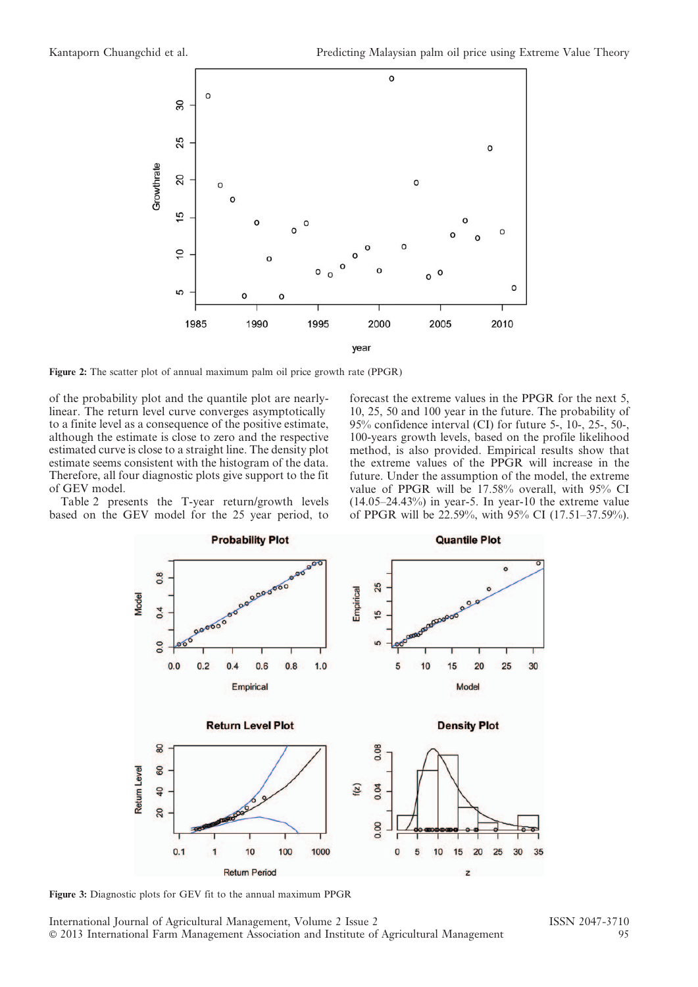

Figure 2: The scatter plot of annual maximum palm oil price growth rate (PPGR)

of the probability plot and the quantile plot are nearlylinear. The return level curve converges asymptotically to a finite level as a consequence of the positive estimate, although the estimate is close to zero and the respective estimated curve is close to a straight line. The density plot estimate seems consistent with the histogram of the data. Therefore, all four diagnostic plots give support to the fit of GEV model.

Table 2 presents the T-year return/growth levels based on the GEV model for the 25 year period, to

forecast the extreme values in the PPGR for the next 5, 10, 25, 50 and 100 year in the future. The probability of 95% confidence interval (CI) for future 5-, 10-, 25-, 50-, 100-years growth levels, based on the profile likelihood method, is also provided. Empirical results show that the extreme values of the PPGR will increase in the future. Under the assumption of the model, the extreme value of PPGR will be 17.58% overall, with 95% CI  $(14.05-24.43%)$  in year-5. In year-10 the extreme value of PPGR will be 22.59%, with 95% CI (17.51–37.59%).



Figure 3: Diagnostic plots for GEV fit to the annual maximum PPGR

International Journal of Agricultural Management, Volume 2 Issue 2 ISSN 2047-3710<br>© 2013 International Farm Management Association and Institute of Agricultural Management 195  $\odot$  2013 International Farm Management Association and Institute of Agricultural Management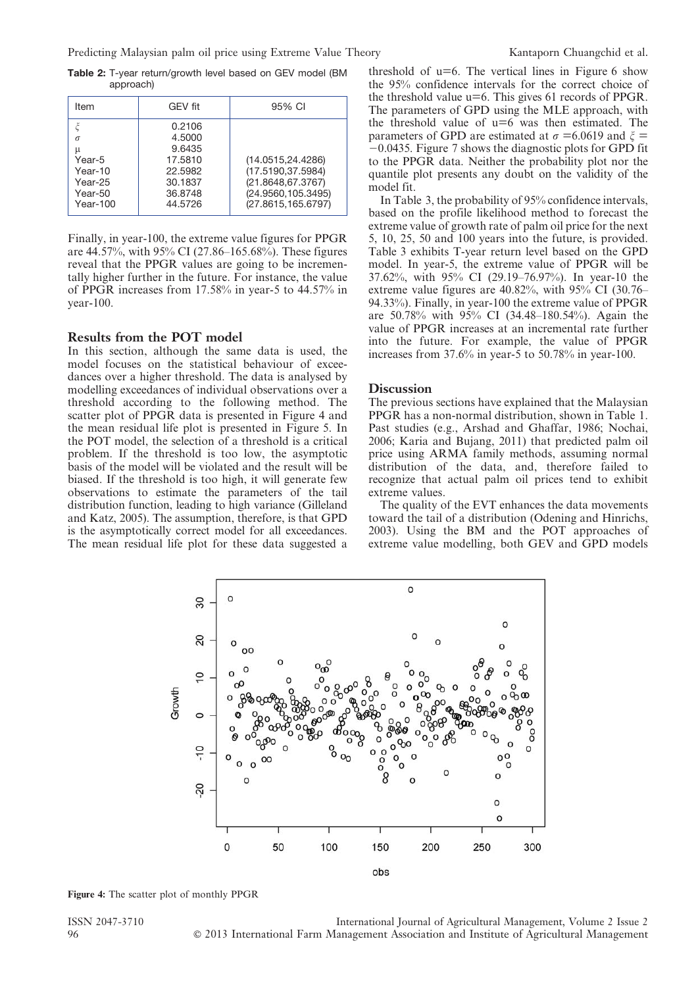Table 2: T-year return/growth level based on GEV model (BM approach)

| Item                                                                 | <b>GEV fit</b>                                                                    | 95% CI                                                                                                    |
|----------------------------------------------------------------------|-----------------------------------------------------------------------------------|-----------------------------------------------------------------------------------------------------------|
| $\sigma$<br>μ<br>Year-5<br>Year-10<br>Year-25<br>Year-50<br>Year-100 | 0.2106<br>4.5000<br>9.6435<br>17,5810<br>22.5982<br>30.1837<br>36.8748<br>44.5726 | (14.0515, 24.4286)<br>(17.5190, 37.5984)<br>(21.8648,67.3767)<br>(24.9560,105.3495)<br>(27.8615,165.6797) |

Finally, in year-100, the extreme value figures for PPGR are 44.57%, with 95% CI (27.86–165.68%). These figures reveal that the PPGR values are going to be incrementally higher further in the future. For instance, the value of PPGR increases from 17.58% in year-5 to 44.57% in year-100.

#### Results from the POT model

In this section, although the same data is used, the model focuses on the statistical behaviour of exceedances over a higher threshold. The data is analysed by modelling exceedances of individual observations over a threshold according to the following method. The scatter plot of PPGR data is presented in Figure 4 and the mean residual life plot is presented in Figure 5. In the POT model, the selection of a threshold is a critical problem. If the threshold is too low, the asymptotic basis of the model will be violated and the result will be biased. If the threshold is too high, it will generate few observations to estimate the parameters of the tail distribution function, leading to high variance (Gilleland and Katz, 2005). The assumption, therefore, is that GPD is the asymptotically correct model for all exceedances. The mean residual life plot for these data suggested a threshold of  $u=6$ . The vertical lines in Figure 6 show the 95% confidence intervals for the correct choice of the threshold value u=6. This gives 61 records of PPGR. The parameters of GPD using the MLE approach, with the threshold value of  $u=6$  was then estimated. The parameters of GPD are estimated at  $\sigma$  =6.0619 and  $\xi$  =  $-0.0435$ . Figure 7 shows the diagnostic plots for GPD fit to the PPGR data. Neither the probability plot nor the quantile plot presents any doubt on the validity of the model fit.

In Table 3, the probability of 95% confidence intervals, based on the profile likelihood method to forecast the extreme value of growth rate of palm oil price for the next 5, 10, 25, 50 and 100 years into the future, is provided. Table 3 exhibits T-year return level based on the GPD model. In year-5, the extreme value of PPGR will be 37.62%, with 95% CI (29.19–76.97%). In year-10 the extreme value figures are 40.82%, with 95% CI (30.76– 94.33%). Finally, in year-100 the extreme value of PPGR are 50.78% with 95% CI (34.48–180.54%). Again the value of PPGR increases at an incremental rate further into the future. For example, the value of PPGR increases from 37.6% in year-5 to 50.78% in year-100.

#### **Discussion**

The previous sections have explained that the Malaysian PPGR has a non-normal distribution, shown in Table 1. Past studies (e.g., Arshad and Ghaffar, 1986; Nochai, 2006; Karia and Bujang, 2011) that predicted palm oil price using ARMA family methods, assuming normal distribution of the data, and, therefore failed to recognize that actual palm oil prices tend to exhibit extreme values.

The quality of the EVT enhances the data movements toward the tail of a distribution (Odening and Hinrichs, 2003). Using the BM and the POT approaches of extreme value modelling, both GEV and GPD models



Figure 4: The scatter plot of monthly PPGR

ISSN 2047-3710 International Journal of Agricultural Management, Volume 2 Issue 2 96 ' 2013 International Farm Management Association and Institute of Agricultural Management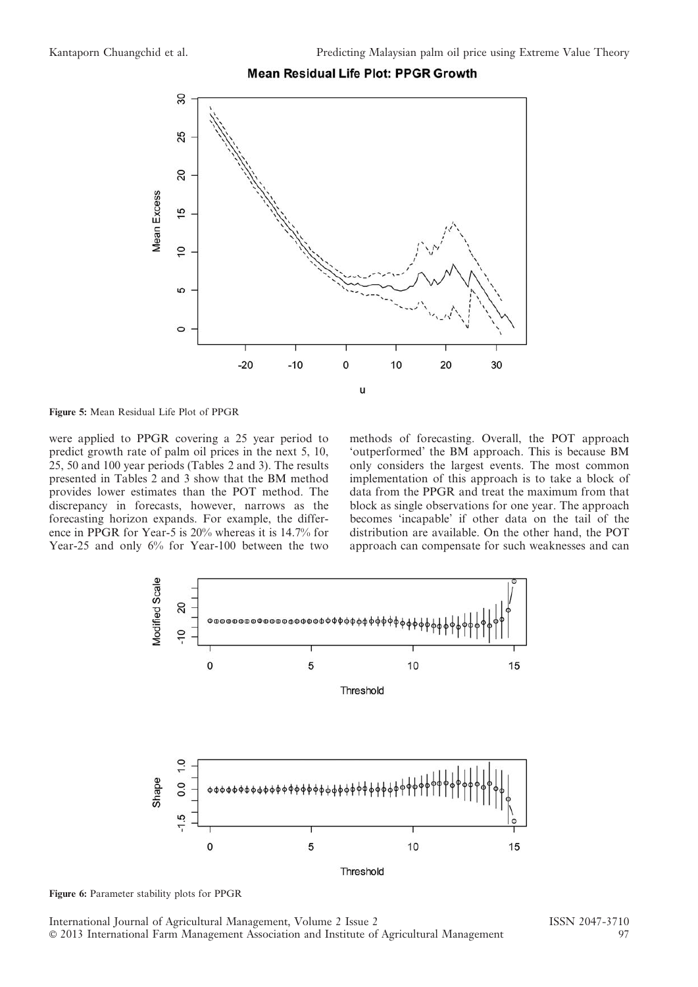



Figure 5: Mean Residual Life Plot of PPGR

were applied to PPGR covering a 25 year period to predict growth rate of palm oil prices in the next 5, 10, 25, 50 and 100 year periods (Tables 2 and 3). The results presented in Tables 2 and 3 show that the BM method provides lower estimates than the POT method. The discrepancy in forecasts, however, narrows as the forecasting horizon expands. For example, the difference in PPGR for Year-5 is 20% whereas it is 14.7% for Year-25 and only 6% for Year-100 between the two

methods of forecasting. Overall, the POT approach 'outperformed' the BM approach. This is because BM only considers the largest events. The most common implementation of this approach is to take a block of data from the PPGR and treat the maximum from that block as single observations for one year. The approach becomes 'incapable' if other data on the tail of the distribution are available. On the other hand, the POT approach can compensate for such weaknesses and can



Figure 6: Parameter stability plots for PPGR

International Journal of Agricultural Management, Volume 2 Issue 2 ISSN 2047-3710<br>© 2013 International Farm Management Association and Institute of Agricultural Management 197  $\odot$  2013 International Farm Management Association and Institute of Agricultural Management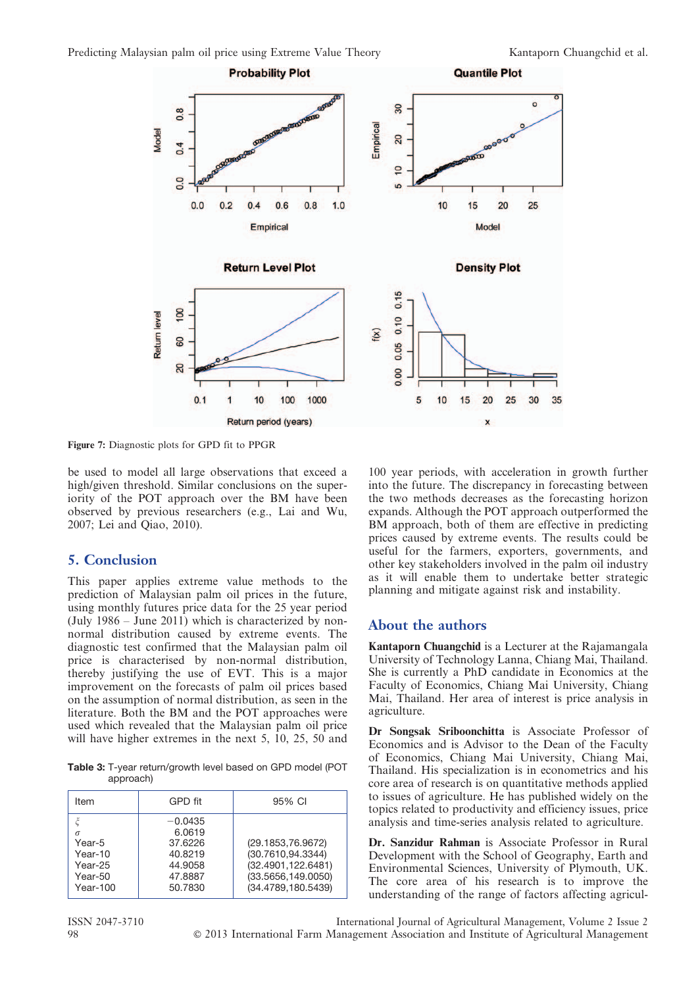

Figure 7: Diagnostic plots for GPD fit to PPGR

be used to model all large observations that exceed a high/given threshold. Similar conclusions on the superiority of the POT approach over the BM have been observed by previous researchers (e.g., Lai and Wu, 2007; Lei and Qiao, 2010).

#### 5. Conclusion

This paper applies extreme value methods to the prediction of Malaysian palm oil prices in the future, using monthly futures price data for the 25 year period (July 1986 – June 2011) which is characterized by nonnormal distribution caused by extreme events. The diagnostic test confirmed that the Malaysian palm oil price is characterised by non-normal distribution, thereby justifying the use of EVT. This is a major improvement on the forecasts of palm oil prices based on the assumption of normal distribution, as seen in the literature. Both the BM and the POT approaches were used which revealed that the Malaysian palm oil price will have higher extremes in the next 5, 10, 25, 50 and

Table 3: T-year return/growth level based on GPD model (POT approach)

| Item                                                              | GPD fit                                                                    | 95% CI                                                                                                      |
|-------------------------------------------------------------------|----------------------------------------------------------------------------|-------------------------------------------------------------------------------------------------------------|
| $\sigma$<br>Year-5<br>Year-10<br>Year-25<br>Year-50<br>$Year-100$ | $-0.0435$<br>6.0619<br>37.6226<br>40.8219<br>44.9058<br>47.8887<br>50.7830 | (29.1853,76.9672)<br>(30.7610, 94.3344)<br>(32.4901, 122.6481)<br>(33.5656, 149.0050)<br>(34.4789,180.5439) |

100 year periods, with acceleration in growth further into the future. The discrepancy in forecasting between the two methods decreases as the forecasting horizon expands. Although the POT approach outperformed the BM approach, both of them are effective in predicting prices caused by extreme events. The results could be useful for the farmers, exporters, governments, and other key stakeholders involved in the palm oil industry as it will enable them to undertake better strategic planning and mitigate against risk and instability.

#### About the authors

Kantaporn Chuangchid is a Lecturer at the Rajamangala University of Technology Lanna, Chiang Mai, Thailand. She is currently a PhD candidate in Economics at the Faculty of Economics, Chiang Mai University, Chiang Mai, Thailand. Her area of interest is price analysis in agriculture.

Dr Songsak Sriboonchitta is Associate Professor of Economics and is Advisor to the Dean of the Faculty of Economics, Chiang Mai University, Chiang Mai, Thailand. His specialization is in econometrics and his core area of research is on quantitative methods applied to issues of agriculture. He has published widely on the topics related to productivity and efficiency issues, price analysis and time-series analysis related to agriculture.

Dr. Sanzidur Rahman is Associate Professor in Rural Development with the School of Geography, Earth and Environmental Sciences, University of Plymouth, UK. The core area of his research is to improve the understanding of the range of factors affecting agricul-